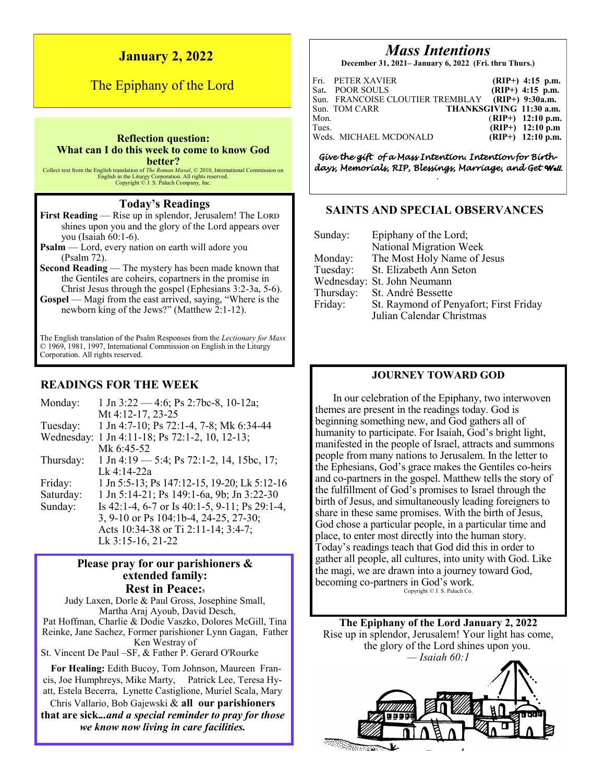# **January 2, 2022**

# The Epiphany of the Lord

#### **Reflection question: What can I do this week to come to know God better?**

Collect text from the English translation of *The Roman Missal*, © 2010, International Commission on English in the Liturgy Corporation. All rights reserved. Copyright © J. S. Paluch Company, Inc.

# **Today's Readings**

**First Reading** — Rise up in splendor, Jerusalem! The LORD shines upon you and the glory of the Lord appears over you (Isaiah 60:1-6).

**Psalm** — Lord, every nation on earth will adore you (Psalm 72).

**Second Reading** — The mystery has been made known that the Gentiles are coheirs, copartners in the promise in Christ Jesus through the gospel (Ephesians 3:2-3a, 5-6).

**Gospel** — Magi from the east arrived, saying, "Where is the newborn king of the Jews?" (Matthew 2:1-12).

The English translation of the Psalm Responses from the *Lectionary for Mass*  © 1969, 1981, 1997, International Commission on English in the Liturgy Corporation. All rights reserved.

# **READINGS FOR THE WEEK**

| Monday:   | 1 Jn 3:22 – 4:6; Ps 2:7bc-8, 10-12a;                                |
|-----------|---------------------------------------------------------------------|
|           | Mt 4:12-17, 23-25                                                   |
| Tuesday:  | 1 Jn 4:7-10; Ps 72:1-4, 7-8; Mk 6:34-44                             |
|           | Wednesday: 1 Jn 4:11-18; Ps 72:1-2, 10, 12-13;                      |
|           | Mk 6:45-52                                                          |
| Thursday: | $1 \text{ Jn } 4:19 \longrightarrow 5:4$ ; Ps 72:1-2, 14, 15bc, 17; |
|           | Lk 4:14-22a                                                         |
| Friday:   | 1 Jn 5:5-13; Ps 147:12-15, 19-20; Lk 5:12-16                        |
| Saturday: | 1 Jn 5:14-21; Ps 149:1-6a, 9b; Jn 3:22-30                           |
| Sunday:   | Is 42:1-4, 6-7 or Is 40:1-5, 9-11; Ps 29:1-4,                       |
|           | 3, 9-10 or Ps 104:1b-4, 24-25, 27-30;                               |
|           | Acts 10:34-38 or Ti 2:11-14; 3:4-7;                                 |
|           | Lk 3:15-16, 21-22                                                   |

## **Please pray for our parishioners & extended family: Rest in Peace:<sup>5</sup>**

Judy Laxen, Dorle & Paul Gross, Josephine Small, Martha Araj Ayoub, David Desch, Pat Hoffman, Charlie & Dodie Vaszko, Dolores McGill, Tina Reinke, Jane Sachez, Former parishioner Lynn Gagan, Father Ken Westray of

St. Vincent De Paul –SF, & Father P. Gerard O'Rourke

 **For Healing:** Edith Bucoy, Tom Johnson, Maureen Francis, Joe Humphreys, Mike Marty, Patrick Lee, Teresa Hyatt, Estela Becerra, Lynette Castiglione, Muriel Scala, Mary Chris Vallario, Bob Gajewski & **all our parishioners** 

**that are sick.***..and a special reminder to pray for those we know now living in care facilities.*

# *Mass Intentions*

**December 31, 2021– January 6, 2022 (Fri. thru Thurs.)**

| Mon.<br>Tues. | Fri. PETER XAVIER<br>Sat. POOR SOULS<br>Sun. FRANCOISE CLOUTIER TREMBLAY (RIP+) 9:30a.m.<br>Sun. TOM CARR | $(RIP+)$ 4:15 p.m.<br>$(RIP+)$ 4:15 p.m.<br>THANKSGIVING 11:30 a.m.<br>$(RIP+)$ 12:10 p.m. |
|---------------|-----------------------------------------------------------------------------------------------------------|--------------------------------------------------------------------------------------------|
|               | Weds. MICHAEL MCDONALD                                                                                    | $(RIP+)$ 12:10 p.m<br>$(RIP+)$ 12:10 p.m.                                                  |

*Give the gift of a Mass Intention. Intention for Birthdays, Memorials, RIP, Blessings, Marriage, and Get Well. .* 

## **SAINTS AND SPECIAL OBSERVANCES**

| Sunday:   | Epiphany of the Lord;                  |
|-----------|----------------------------------------|
|           | National Migration Week                |
| Monday:   | The Most Holy Name of Jesus            |
| Tuesday:  | St. Elizabeth Ann Seton                |
|           | Wednesday: St. John Neumann            |
| Thursday: | St. André Bessette                     |
| Friday:   | St. Raymond of Penyafort; First Friday |
|           | Julian Calendar Christmas              |

# **JOURNEY TOWARD GOD**

In our celebration of the Epiphany, two interwoven themes are present in the readings today. God is beginning something new, and God gathers all of humanity to participate. For Isaiah, God's bright light, manifested in the people of Israel, attracts and summons people from many nations to Jerusalem. In the letter to the Ephesians, God's grace makes the Gentiles co-heirs and co-partners in the gospel. Matthew tells the story of the fulfillment of God's promises to Israel through the birth of Jesus, and simultaneously leading foreigners to share in these same promises. With the birth of Jesus, God chose a particular people, in a particular time and place, to enter most directly into the human story. Today's readings teach that God did this in order to gather all people, all cultures, into unity with God. Like the magi, we are drawn into a journey toward God, becoming co-partners in God's work. Copyright © J. S. Paluch Co.

**The Epiphany of the Lord January 2, 2022** Rise up in splendor, Jerusalem! Your light has come, the glory of the Lord shines upon you. *— Isaiah 60:1*